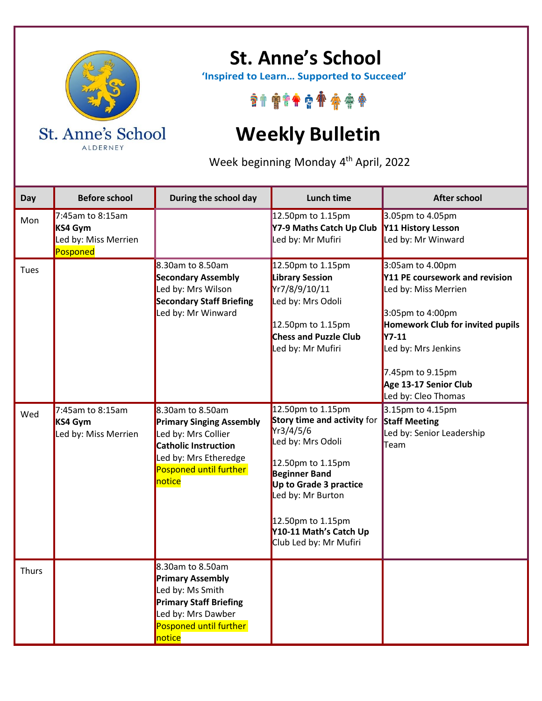

ALDERNEY

## **St. Anne's School**

 **'Inspired to Learn… Supported to Succeed'**

\*\*\*\*\*\*\*\*\*\*

## **Weekly Bulletin**

Week beginning Monday 4<sup>th</sup> April, 2022

| Day         | <b>Before school</b>                                            | During the school day                                                                                                                                                     | Lunch time                                                                                                                                                                                                                                              | <b>After school</b>                                                                                                                                                                                                                           |
|-------------|-----------------------------------------------------------------|---------------------------------------------------------------------------------------------------------------------------------------------------------------------------|---------------------------------------------------------------------------------------------------------------------------------------------------------------------------------------------------------------------------------------------------------|-----------------------------------------------------------------------------------------------------------------------------------------------------------------------------------------------------------------------------------------------|
| Mon         | 7:45am to 8:15am<br>KS4 Gym<br>Led by: Miss Merrien<br>Posponed |                                                                                                                                                                           | 12.50pm to 1.15pm<br>Y7-9 Maths Catch Up Club<br>Led by: Mr Mufiri                                                                                                                                                                                      | 3.05pm to 4.05pm<br>Y11 History Lesson<br>Led by: Mr Winward                                                                                                                                                                                  |
| <b>Tues</b> |                                                                 | 8.30am to 8.50am<br><b>Secondary Assembly</b><br>Led by: Mrs Wilson<br><b>Secondary Staff Briefing</b><br>Led by: Mr Winward                                              | 12.50pm to 1.15pm<br><b>Library Session</b><br>Yr7/8/9/10/11<br>Led by: Mrs Odoli<br>12.50pm to 1.15pm<br><b>Chess and Puzzle Club</b><br>Led by: Mr Mufiri                                                                                             | 3:05am to 4.00pm<br>Y11 PE coursework and revision<br>Led by: Miss Merrien<br>3:05pm to 4:00pm<br>Homework Club for invited pupils<br><b>Y7-11</b><br>Led by: Mrs Jenkins<br>7.45pm to 9.15pm<br>Age 13-17 Senior Club<br>Led by: Cleo Thomas |
| Wed         | 7:45am to 8:15am<br>KS4 Gym<br>Led by: Miss Merrien             | $8.30$ am to 8.50am<br><b>Primary Singing Assembly</b><br>Led by: Mrs Collier<br><b>Catholic Instruction</b><br>Led by: Mrs Etheredge<br>Posponed until further<br>notice | 12.50pm to 1.15pm<br>Story time and activity for<br>Yr3/4/5/6<br>Led by: Mrs Odoli<br>12.50pm to 1.15pm<br><b>Beginner Band</b><br>Up to Grade 3 practice<br>Led by: Mr Burton<br>12.50pm to 1.15pm<br>Y10-11 Math's Catch Up<br>Club Led by: Mr Mufiri | 3.15pm to 4.15pm<br><b>Staff Meeting</b><br>Led by: Senior Leadership<br>Team                                                                                                                                                                 |
| Thurs       |                                                                 | 8.30am to 8.50am<br><b>Primary Assembly</b><br>Led by: Ms Smith<br><b>Primary Staff Briefing</b><br>Led by: Mrs Dawber<br>Posponed until further<br>notice                |                                                                                                                                                                                                                                                         |                                                                                                                                                                                                                                               |